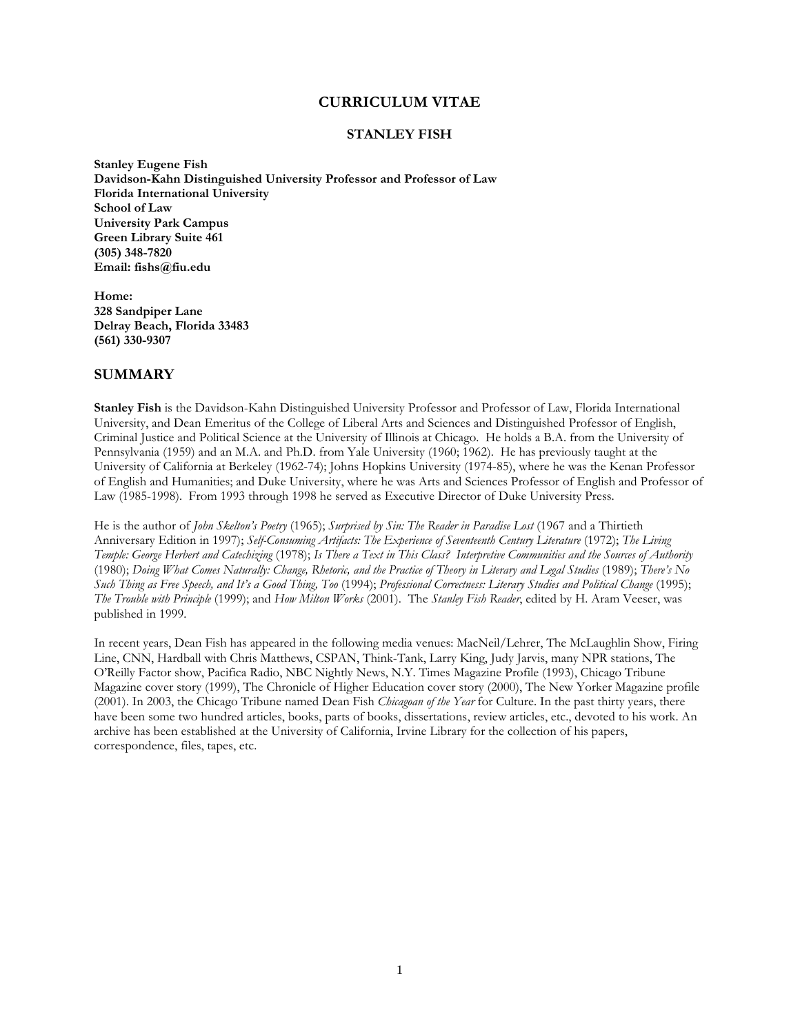### CURRICULUM VITAE

#### STANLEY FISH

Stanley Eugene Fish Davidson-Kahn Distinguished University Professor and Professor of Law Florida International University School of Law University Park Campus Green Library Suite 461 (305) 348-7820 Email: fishs@fiu.edu

Home: 328 Sandpiper Lane Delray Beach, Florida 33483 (561) 330-9307

### SUMMARY

Stanley Fish is the Davidson-Kahn Distinguished University Professor and Professor of Law, Florida International University, and Dean Emeritus of the College of Liberal Arts and Sciences and Distinguished Professor of English, Criminal Justice and Political Science at the University of Illinois at Chicago. He holds a B.A. from the University of Pennsylvania (1959) and an M.A. and Ph.D. from Yale University (1960; 1962). He has previously taught at the University of California at Berkeley (1962-74); Johns Hopkins University (1974-85), where he was the Kenan Professor of English and Humanities; and Duke University, where he was Arts and Sciences Professor of English and Professor of Law (1985-1998). From 1993 through 1998 he served as Executive Director of Duke University Press.

He is the author of John Skelton's Poetry (1965); Surprised by Sin: The Reader in Paradise Lost (1967 and a Thirtieth Anniversary Edition in 1997); Self-Consuming Artifacts: The Experience of Seventeenth Century Literature (1972); The Living Temple: George Herbert and Catechizing (1978); Is There a Text in This Class? Interpretive Communities and the Sources of Authority (1980); Doing What Comes Naturally: Change, Rhetoric, and the Practice of Theory in Literary and Legal Studies (1989); There's No Such Thing as Free Speech, and It's a Good Thing, Too (1994); Professional Correctness: Literary Studies and Political Change (1995); The Trouble with Principle (1999); and How Milton Works (2001). The Stanley Fish Reader, edited by H. Aram Veeser, was published in 1999.

In recent years, Dean Fish has appeared in the following media venues: MacNeil/Lehrer, The McLaughlin Show, Firing Line, CNN, Hardball with Chris Matthews, CSPAN, Think-Tank, Larry King, Judy Jarvis, many NPR stations, The O'Reilly Factor show, Pacifica Radio, NBC Nightly News, N.Y. Times Magazine Profile (1993), Chicago Tribune Magazine cover story (1999), The Chronicle of Higher Education cover story (2000), The New Yorker Magazine profile (2001). In 2003, the Chicago Tribune named Dean Fish Chicagoan of the Year for Culture. In the past thirty years, there have been some two hundred articles, books, parts of books, dissertations, review articles, etc., devoted to his work. An archive has been established at the University of California, Irvine Library for the collection of his papers, correspondence, files, tapes, etc.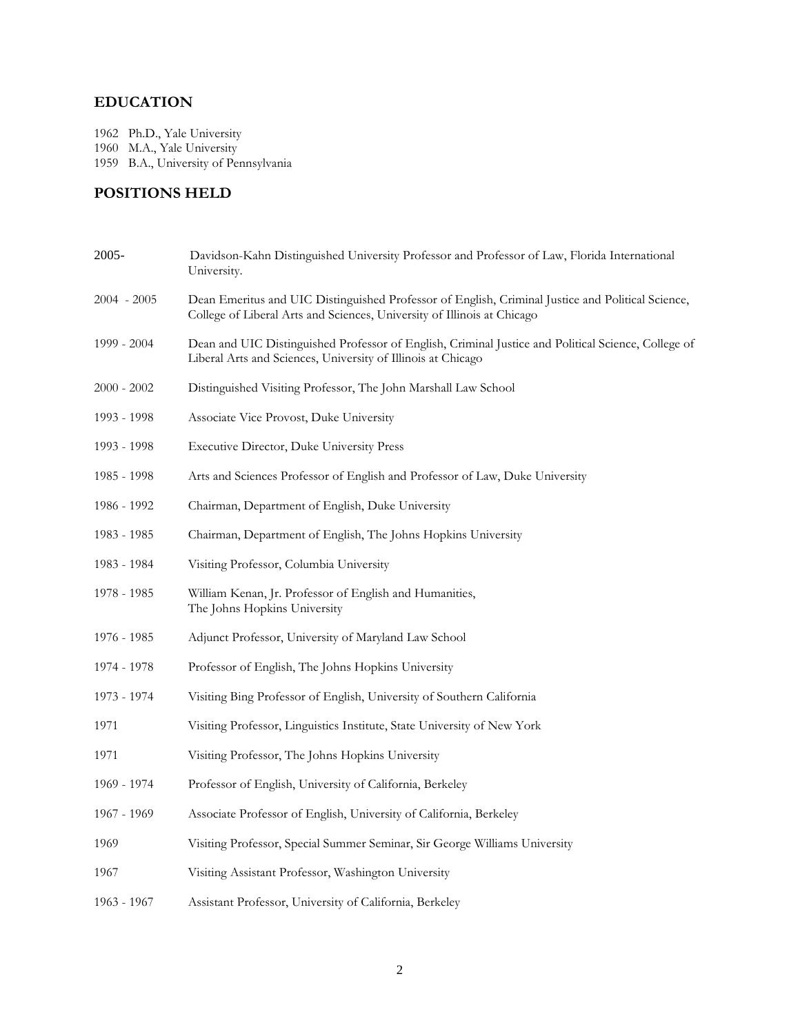# EDUCATION

1962 Ph.D., Yale University 1960 M.A., Yale University 1959 B.A., University of Pennsylvania

# POSITIONS HELD

| $2005 -$      | Davidson-Kahn Distinguished University Professor and Professor of Law, Florida International<br>University.                                                                  |
|---------------|------------------------------------------------------------------------------------------------------------------------------------------------------------------------------|
| $2004 - 2005$ | Dean Emeritus and UIC Distinguished Professor of English, Criminal Justice and Political Science,<br>College of Liberal Arts and Sciences, University of Illinois at Chicago |
| 1999 - 2004   | Dean and UIC Distinguished Professor of English, Criminal Justice and Political Science, College of<br>Liberal Arts and Sciences, University of Illinois at Chicago          |
| $2000 - 2002$ | Distinguished Visiting Professor, The John Marshall Law School                                                                                                               |
| 1993 - 1998   | Associate Vice Provost, Duke University                                                                                                                                      |
| 1993 - 1998   | Executive Director, Duke University Press                                                                                                                                    |
| 1985 - 1998   | Arts and Sciences Professor of English and Professor of Law, Duke University                                                                                                 |
| 1986 - 1992   | Chairman, Department of English, Duke University                                                                                                                             |
| 1983 - 1985   | Chairman, Department of English, The Johns Hopkins University                                                                                                                |
| 1983 - 1984   | Visiting Professor, Columbia University                                                                                                                                      |
| 1978 - 1985   | William Kenan, Jr. Professor of English and Humanities,<br>The Johns Hopkins University                                                                                      |
| 1976 - 1985   | Adjunct Professor, University of Maryland Law School                                                                                                                         |
| 1974 - 1978   | Professor of English, The Johns Hopkins University                                                                                                                           |
| 1973 - 1974   | Visiting Bing Professor of English, University of Southern California                                                                                                        |
| 1971          | Visiting Professor, Linguistics Institute, State University of New York                                                                                                      |
| 1971          | Visiting Professor, The Johns Hopkins University                                                                                                                             |
| 1969 - 1974   | Professor of English, University of California, Berkeley                                                                                                                     |
| 1967 - 1969   | Associate Professor of English, University of California, Berkeley                                                                                                           |
| 1969          | Visiting Professor, Special Summer Seminar, Sir George Williams University                                                                                                   |
| 1967          | Visiting Assistant Professor, Washington University                                                                                                                          |
| 1963 - 1967   | Assistant Professor, University of California, Berkeley                                                                                                                      |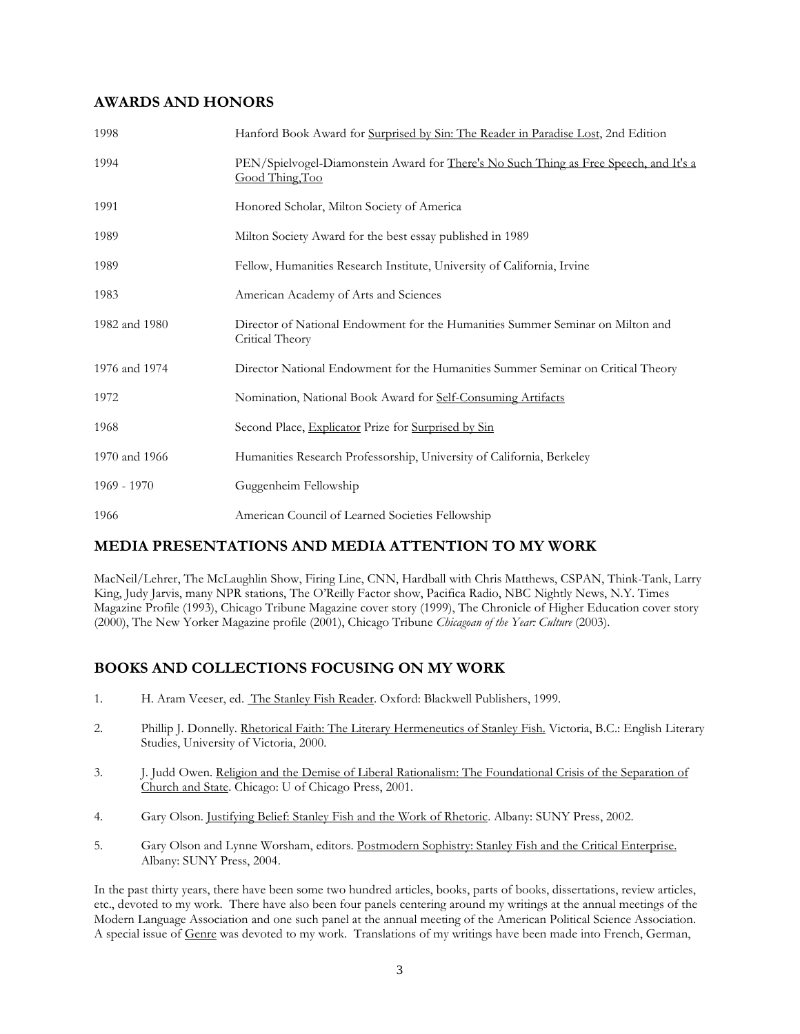# AWARDS AND HONORS

| 1998          | Hanford Book Award for Surprised by Sin: The Reader in Paradise Lost, 2nd Edition                        |
|---------------|----------------------------------------------------------------------------------------------------------|
| 1994          | PEN/Spielvogel-Diamonstein Award for There's No Such Thing as Free Speech, and It's a<br>Good Thing, Too |
| 1991          | Honored Scholar, Milton Society of America                                                               |
| 1989          | Milton Society Award for the best essay published in 1989                                                |
| 1989          | Fellow, Humanities Research Institute, University of California, Irvine                                  |
| 1983          | American Academy of Arts and Sciences                                                                    |
| 1982 and 1980 | Director of National Endowment for the Humanities Summer Seminar on Milton and<br>Critical Theory        |
| 1976 and 1974 | Director National Endowment for the Humanities Summer Seminar on Critical Theory                         |
| 1972          | Nomination, National Book Award for Self-Consuming Artifacts                                             |
| 1968          | Second Place, Explicator Prize for Surprised by Sin                                                      |
| 1970 and 1966 | Humanities Research Professorship, University of California, Berkeley                                    |
| $1969 - 1970$ | Guggenheim Fellowship                                                                                    |
| 1966          | American Council of Learned Societies Fellowship                                                         |

# MEDIA PRESENTATIONS AND MEDIA ATTENTION TO MY WORK

MacNeil/Lehrer, The McLaughlin Show, Firing Line, CNN, Hardball with Chris Matthews, CSPAN, Think-Tank, Larry King, Judy Jarvis, many NPR stations, The O'Reilly Factor show, Pacifica Radio, NBC Nightly News, N.Y. Times Magazine Profile (1993), Chicago Tribune Magazine cover story (1999), The Chronicle of Higher Education cover story (2000), The New Yorker Magazine profile (2001), Chicago Tribune Chicagoan of the Year: Culture (2003).

# BOOKS AND COLLECTIONS FOCUSING ON MY WORK

- 1. H. Aram Veeser, ed. The Stanley Fish Reader. Oxford: Blackwell Publishers, 1999.
- 2. Phillip J. Donnelly. Rhetorical Faith: The Literary Hermeneutics of Stanley Fish. Victoria, B.C.: English Literary Studies, University of Victoria, 2000.
- 3. J. Judd Owen. Religion and the Demise of Liberal Rationalism: The Foundational Crisis of the Separation of Church and State. Chicago: U of Chicago Press, 2001.
- 4. Gary Olson. Justifying Belief: Stanley Fish and the Work of Rhetoric. Albany: SUNY Press, 2002.
- 5. Gary Olson and Lynne Worsham, editors. Postmodern Sophistry: Stanley Fish and the Critical Enterprise. Albany: SUNY Press, 2004.

In the past thirty years, there have been some two hundred articles, books, parts of books, dissertations, review articles, etc., devoted to my work. There have also been four panels centering around my writings at the annual meetings of the Modern Language Association and one such panel at the annual meeting of the American Political Science Association. A special issue of Genre was devoted to my work. Translations of my writings have been made into French, German,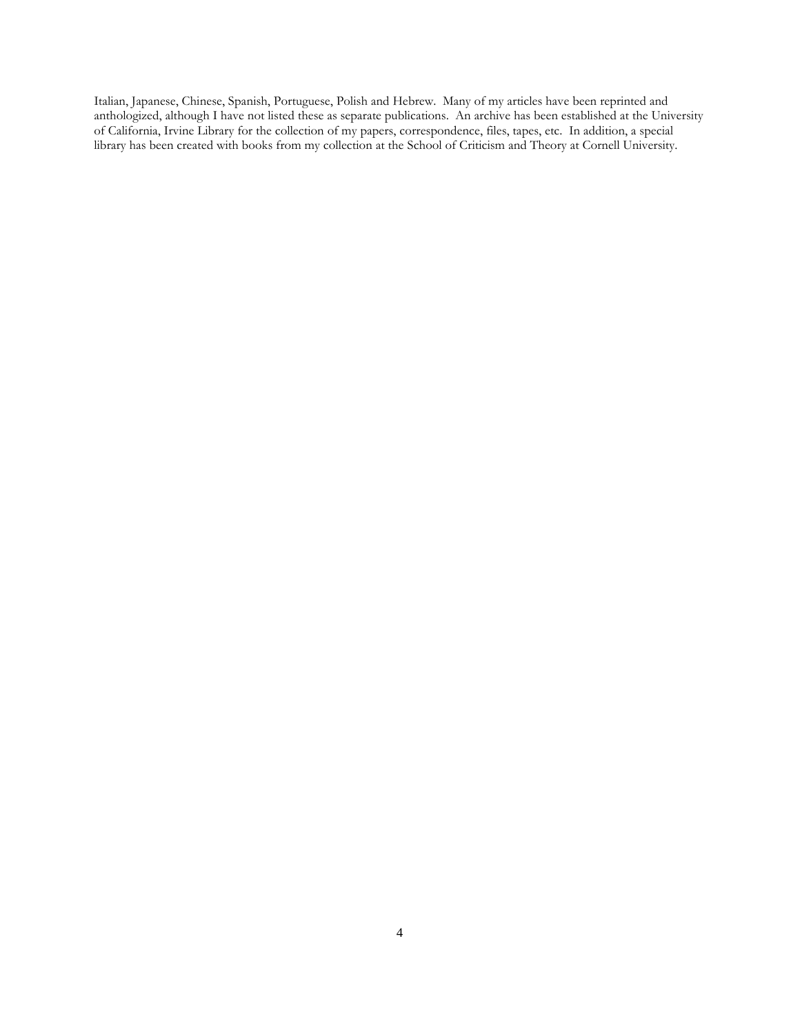Italian, Japanese, Chinese, Spanish, Portuguese, Polish and Hebrew. Many of my articles have been reprinted and anthologized, although I have not listed these as separate publications. An archive has been established at the University of California, Irvine Library for the collection of my papers, correspondence, files, tapes, etc. In addition, a special library has been created with books from my collection at the School of Criticism and Theory at Cornell University.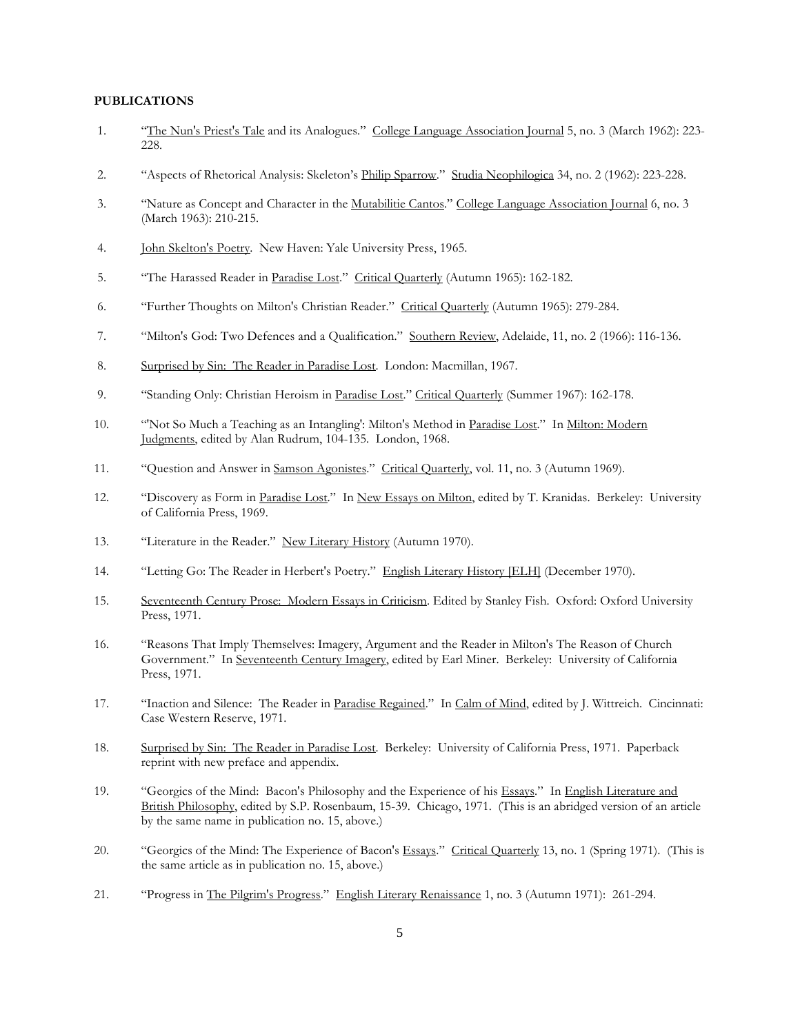#### PUBLICATIONS

- 1. "The Nun's Priest's Tale and its Analogues." College Language Association Journal 5, no. 3 (March 1962): 223- 228.
- 2. "Aspects of Rhetorical Analysis: Skeleton's Philip Sparrow." Studia Neophilogica 34, no. 2 (1962): 223-228.
- 3. "Nature as Concept and Character in the Mutabilitie Cantos." College Language Association Journal 6, no. 3 (March 1963): 210-215.
- 4. John Skelton's Poetry. New Haven: Yale University Press, 1965.
- 5. "The Harassed Reader in Paradise Lost." Critical Quarterly (Autumn 1965): 162-182.
- 6. "Further Thoughts on Milton's Christian Reader." Critical Quarterly (Autumn 1965): 279-284.
- 7. "Milton's God: Two Defences and a Qualification." Southern Review, Adelaide, 11, no. 2 (1966): 116-136.
- 8. Surprised by Sin: The Reader in Paradise Lost. London: Macmillan, 1967.
- 9. "Standing Only: Christian Heroism in Paradise Lost." Critical Quarterly (Summer 1967): 162-178.
- 10. "'Not So Much a Teaching as an Intangling': Milton's Method in Paradise Lost." In Milton: Modern Judgments, edited by Alan Rudrum, 104-135. London, 1968.
- 11. "Question and Answer in Samson Agonistes." Critical Quarterly, vol. 11, no. 3 (Autumn 1969).
- 12. "Discovery as Form in Paradise Lost." In New Essays on Milton, edited by T. Kranidas. Berkeley: University of California Press, 1969.
- 13. "Literature in the Reader." New Literary History (Autumn 1970).
- 14. "Letting Go: The Reader in Herbert's Poetry." English Literary History [ELH] (December 1970).
- 15. Seventeenth Century Prose: Modern Essays in Criticism. Edited by Stanley Fish. Oxford: Oxford University Press, 1971.
- 16. "Reasons That Imply Themselves: Imagery, Argument and the Reader in Milton's The Reason of Church Government." In Seventeenth Century Imagery, edited by Earl Miner. Berkeley: University of California Press, 1971.
- 17. "Inaction and Silence: The Reader in Paradise Regained." In Calm of Mind, edited by J. Wittreich. Cincinnati: Case Western Reserve, 1971.
- 18. Surprised by Sin: The Reader in Paradise Lost. Berkeley: University of California Press, 1971. Paperback reprint with new preface and appendix.
- 19. "Georgics of the Mind: Bacon's Philosophy and the Experience of his Essays." In English Literature and British Philosophy, edited by S.P. Rosenbaum, 15-39. Chicago, 1971. (This is an abridged version of an article by the same name in publication no. 15, above.)
- 20. "Georgics of the Mind: The Experience of Bacon's Essays." Critical Quarterly 13, no. 1 (Spring 1971). (This is the same article as in publication no. 15, above.)
- 21. "Progress in The Pilgrim's Progress." English Literary Renaissance 1, no. 3 (Autumn 1971): 261-294.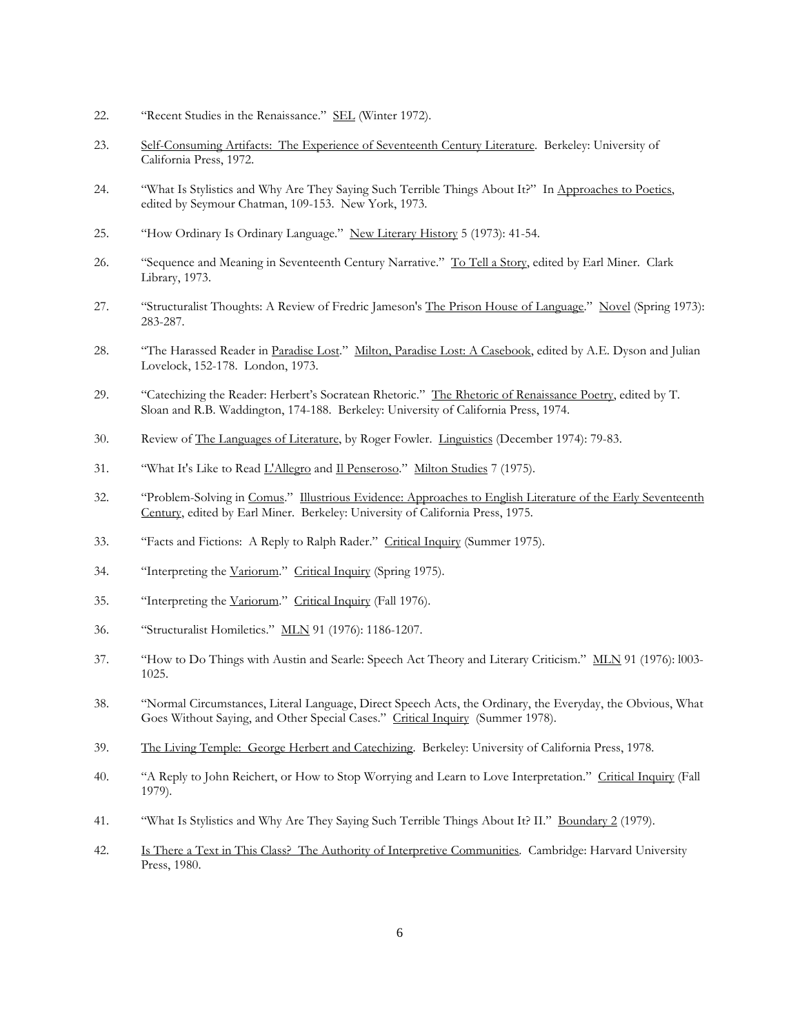- 22. "Recent Studies in the Renaissance." SEL (Winter 1972).
- 23. Self-Consuming Artifacts: The Experience of Seventeenth Century Literature. Berkeley: University of California Press, 1972.
- 24. "What Is Stylistics and Why Are They Saying Such Terrible Things About It?" In Approaches to Poetics, edited by Seymour Chatman, 109-153. New York, 1973.
- 25. "How Ordinary Is Ordinary Language." New Literary History 5 (1973): 41-54.
- 26. "Sequence and Meaning in Seventeenth Century Narrative." To Tell a Story, edited by Earl Miner. Clark Library, 1973.
- 27. "Structuralist Thoughts: A Review of Fredric Jameson's The Prison House of Language." Novel (Spring 1973): 283-287.
- 28. "The Harassed Reader in Paradise Lost." Milton, Paradise Lost: A Casebook, edited by A.E. Dyson and Julian Lovelock, 152-178. London, 1973.
- 29. "Catechizing the Reader: Herbert's Socratean Rhetoric." The Rhetoric of Renaissance Poetry, edited by T. Sloan and R.B. Waddington, 174-188. Berkeley: University of California Press, 1974.
- 30. Review of The Languages of Literature, by Roger Fowler. Linguistics (December 1974): 79-83.
- 31. "What It's Like to Read L'Allegro and Il Penseroso." Milton Studies 7 (1975).
- 32. "Problem-Solving in Comus." Illustrious Evidence: Approaches to English Literature of the Early Seventeenth Century, edited by Earl Miner. Berkeley: University of California Press, 1975.
- 33. "Facts and Fictions: A Reply to Ralph Rader." Critical Inquiry (Summer 1975).
- 34. "Interpreting the Variorum." Critical Inquiry (Spring 1975).
- 35. "Interpreting the Variorum." Critical Inquiry (Fall 1976).
- 36. "Structuralist Homiletics." MLN 91 (1976): 1186-1207.
- 37. "How to Do Things with Austin and Searle: Speech Act Theory and Literary Criticism." MLN 91 (1976): l003- 1025.
- 38. "Normal Circumstances, Literal Language, Direct Speech Acts, the Ordinary, the Everyday, the Obvious, What Goes Without Saying, and Other Special Cases." Critical Inquiry (Summer 1978).
- 39. The Living Temple: George Herbert and Catechizing. Berkeley: University of California Press, 1978.
- 40. "A Reply to John Reichert, or How to Stop Worrying and Learn to Love Interpretation." Critical Inquiry (Fall 1979).
- 41. "What Is Stylistics and Why Are They Saying Such Terrible Things About It? II." Boundary 2 (1979).
- 42. Is There a Text in This Class? The Authority of Interpretive Communities. Cambridge: Harvard University Press, 1980.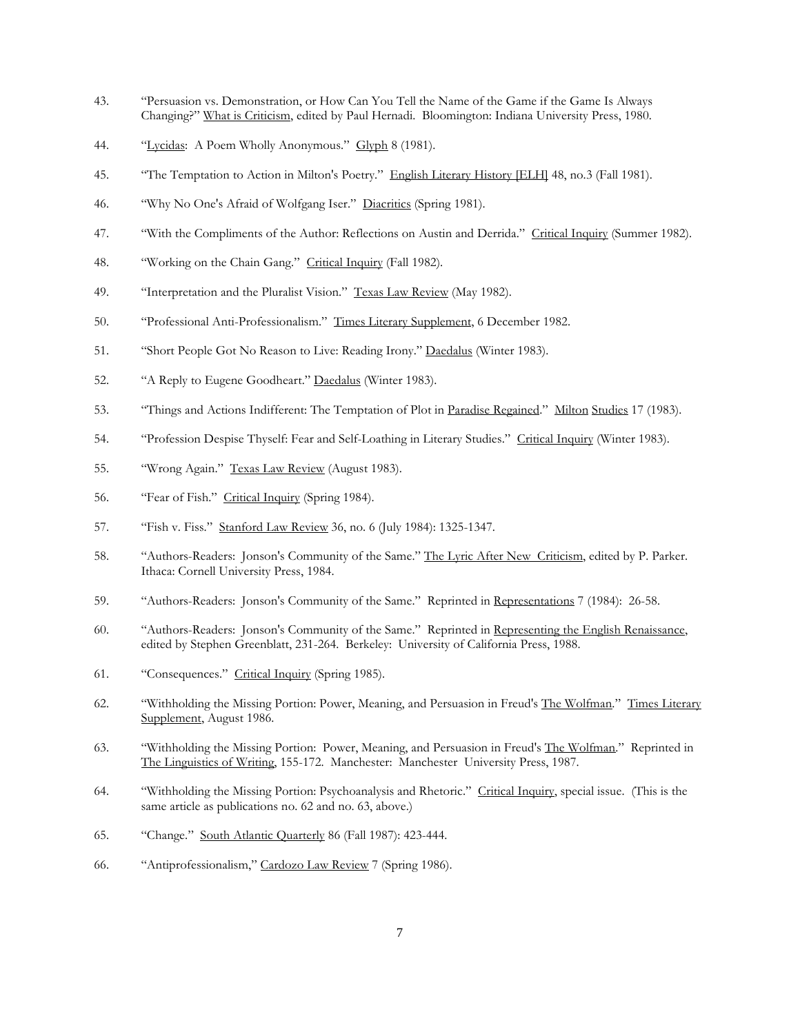- 43. "Persuasion vs. Demonstration, or How Can You Tell the Name of the Game if the Game Is Always Changing?" What is Criticism, edited by Paul Hernadi. Bloomington: Indiana University Press, 1980.
- 44. "Lycidas: A Poem Wholly Anonymous." Glyph 8 (1981).
- 45. "The Temptation to Action in Milton's Poetry." English Literary History [ELH] 48, no.3 (Fall 1981).
- 46. "Why No One's Afraid of Wolfgang Iser." Diacritics (Spring 1981).
- 47. "With the Compliments of the Author: Reflections on Austin and Derrida." Critical Inquiry (Summer 1982).
- 48. "Working on the Chain Gang." Critical Inquiry (Fall 1982).
- 49. "Interpretation and the Pluralist Vision." Texas Law Review (May 1982).
- 50. "Professional Anti-Professionalism." Times Literary Supplement, 6 December 1982.
- 51. "Short People Got No Reason to Live: Reading Irony." Daedalus (Winter 1983).
- 52. "A Reply to Eugene Goodheart." Daedalus (Winter 1983).
- 53. "Things and Actions Indifferent: The Temptation of Plot in Paradise Regained." Milton Studies 17 (1983).
- 54. "Profession Despise Thyself: Fear and Self-Loathing in Literary Studies." Critical Inquiry (Winter 1983).
- 55. "Wrong Again." Texas Law Review (August 1983).
- 56. "Fear of Fish." Critical Inquiry (Spring 1984).
- 57. "Fish v. Fiss." Stanford Law Review 36, no. 6 (July 1984): 1325-1347.
- 58. "Authors-Readers: Jonson's Community of the Same." The Lyric After New Criticism, edited by P. Parker. Ithaca: Cornell University Press, 1984.
- 59. "Authors-Readers: Jonson's Community of the Same." Reprinted in Representations 7 (1984): 26-58.
- 60. "Authors-Readers: Jonson's Community of the Same." Reprinted in Representing the English Renaissance, edited by Stephen Greenblatt, 231-264. Berkeley: University of California Press, 1988.
- 61. "Consequences." Critical Inquiry (Spring 1985).
- 62. "Withholding the Missing Portion: Power, Meaning, and Persuasion in Freud's The Wolfman." Times Literary Supplement, August 1986.
- 63. "Withholding the Missing Portion: Power, Meaning, and Persuasion in Freud's The Wolfman." Reprinted in The Linguistics of Writing, 155-172. Manchester: Manchester University Press, 1987.
- 64. "Withholding the Missing Portion: Psychoanalysis and Rhetoric." Critical Inquiry, special issue. (This is the same article as publications no. 62 and no. 63, above.)
- 65. "Change." South Atlantic Quarterly 86 (Fall 1987): 423-444.
- 66. "Antiprofessionalism," Cardozo Law Review 7 (Spring 1986).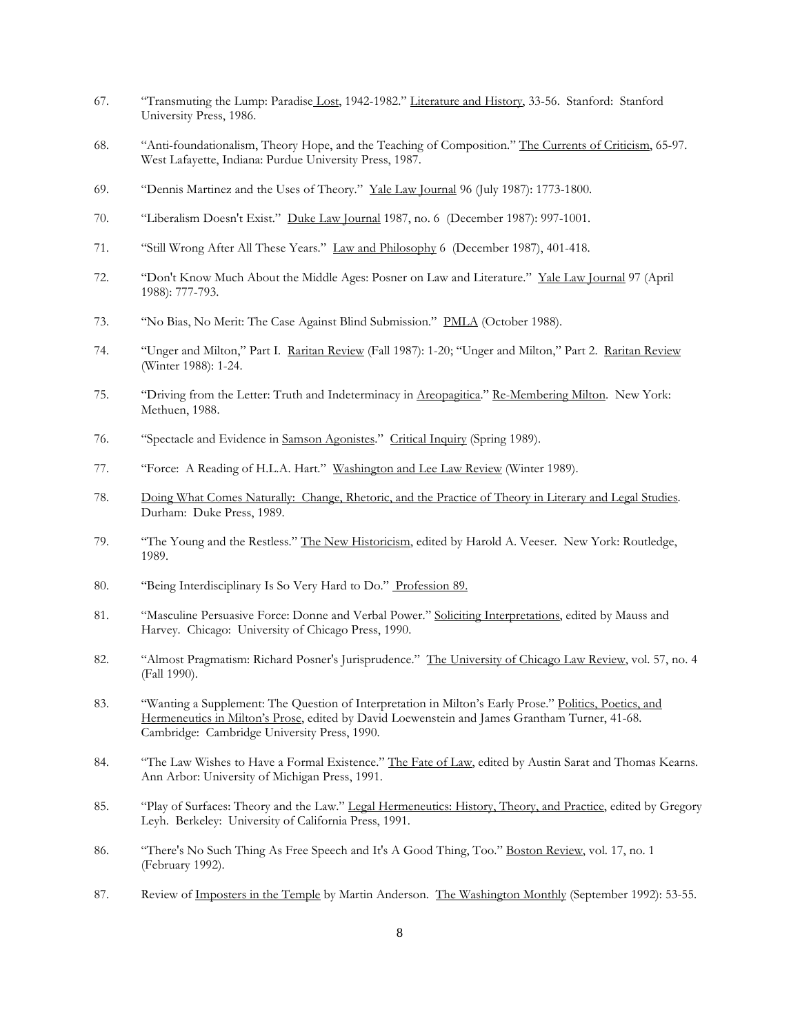- 67. "Transmuting the Lump: Paradise Lost, 1942-1982." Literature and History, 33-56. Stanford: Stanford University Press, 1986.
- 68. "Anti-foundationalism, Theory Hope, and the Teaching of Composition." The Currents of Criticism, 65-97. West Lafayette, Indiana: Purdue University Press, 1987.
- 69. "Dennis Martinez and the Uses of Theory." Yale Law Journal 96 (July 1987): 1773-1800.
- 70. "Liberalism Doesn't Exist." Duke Law Journal 1987, no. 6 (December 1987): 997-1001.
- 71. "Still Wrong After All These Years." Law and Philosophy 6 (December 1987), 401-418.
- 72. "Don't Know Much About the Middle Ages: Posner on Law and Literature." Yale Law Journal 97 (April 1988): 777-793.
- 73. "No Bias, No Merit: The Case Against Blind Submission." PMLA (October 1988).
- 74. "Unger and Milton," Part I. Raritan Review (Fall 1987): 1-20; "Unger and Milton," Part 2. Raritan Review (Winter 1988): 1-24.
- 75. "Driving from the Letter: Truth and Indeterminacy in Areopagitica." Re-Membering Milton. New York: Methuen, 1988.
- 76. "Spectacle and Evidence in Samson Agonistes." Critical Inquiry (Spring 1989).
- 77. "Force: A Reading of H.L.A. Hart." Washington and Lee Law Review (Winter 1989).
- 78. Doing What Comes Naturally: Change, Rhetoric, and the Practice of Theory in Literary and Legal Studies. Durham: Duke Press, 1989.
- 79. "The Young and the Restless." The New Historicism, edited by Harold A. Veeser. New York: Routledge, 1989.
- 80. "Being Interdisciplinary Is So Very Hard to Do." Profession 89.
- 81. "Masculine Persuasive Force: Donne and Verbal Power." Soliciting Interpretations, edited by Mauss and Harvey. Chicago: University of Chicago Press, 1990.
- 82. "Almost Pragmatism: Richard Posner's Jurisprudence." The University of Chicago Law Review, vol. 57, no. 4 (Fall 1990).
- 83. "Wanting a Supplement: The Question of Interpretation in Milton's Early Prose." Politics, Poetics, and Hermeneutics in Milton's Prose, edited by David Loewenstein and James Grantham Turner, 41-68. Cambridge: Cambridge University Press, 1990.
- 84. "The Law Wishes to Have a Formal Existence." The Fate of Law, edited by Austin Sarat and Thomas Kearns. Ann Arbor: University of Michigan Press, 1991.
- 85. "Play of Surfaces: Theory and the Law." Legal Hermeneutics: History, Theory, and Practice, edited by Gregory Leyh. Berkeley: University of California Press, 1991.
- 86. "There's No Such Thing As Free Speech and It's A Good Thing, Too." Boston Review, vol. 17, no. 1 (February 1992).
- 87. Review of Imposters in the Temple by Martin Anderson. The Washington Monthly (September 1992): 53-55.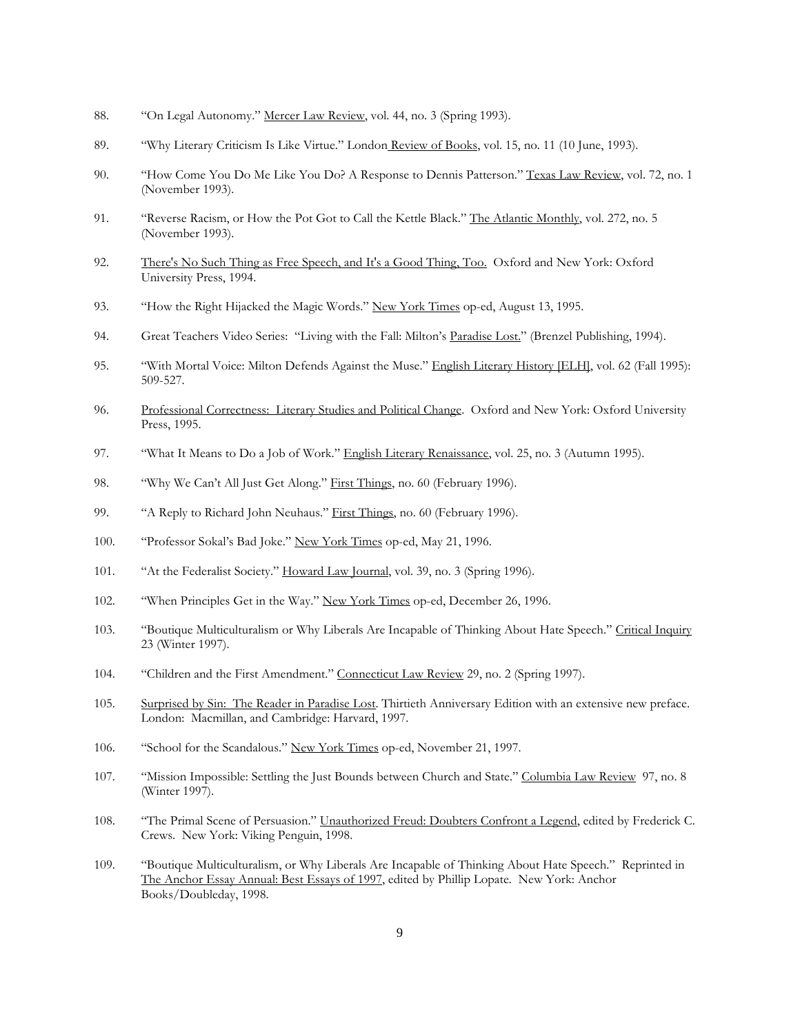- 88. "On Legal Autonomy." Mercer Law Review, vol. 44, no. 3 (Spring 1993).
- 89. "Why Literary Criticism Is Like Virtue." London Review of Books, vol. 15, no. 11 (10 June, 1993).
- 90. "How Come You Do Me Like You Do? A Response to Dennis Patterson." Texas Law Review, vol. 72, no. 1 (November 1993).
- 91. "Reverse Racism, or How the Pot Got to Call the Kettle Black." The Atlantic Monthly, vol. 272, no. 5 (November 1993).
- 92. There's No Such Thing as Free Speech, and It's a Good Thing, Too. Oxford and New York: Oxford University Press, 1994.
- 93. "How the Right Hijacked the Magic Words." New York Times op-ed, August 13, 1995.
- 94. Great Teachers Video Series: "Living with the Fall: Milton's Paradise Lost." (Brenzel Publishing, 1994).
- 95. "With Mortal Voice: Milton Defends Against the Muse." English Literary History [ELH], vol. 62 (Fall 1995): 509-527.
- 96. Professional Correctness: Literary Studies and Political Change. Oxford and New York: Oxford University Press, 1995.
- 97. "What It Means to Do a Job of Work." English Literary Renaissance, vol. 25, no. 3 (Autumn 1995).
- 98. "Why We Can't All Just Get Along." First Things, no. 60 (February 1996).
- 99. "A Reply to Richard John Neuhaus." First Things, no. 60 (February 1996).
- 100. "Professor Sokal's Bad Joke." New York Times op-ed, May 21, 1996.
- 101. "At the Federalist Society." Howard Law Journal, vol. 39, no. 3 (Spring 1996).
- 102. "When Principles Get in the Way." New York Times op-ed, December 26, 1996.
- 103. "Boutique Multiculturalism or Why Liberals Are Incapable of Thinking About Hate Speech." Critical Inquiry 23 (Winter 1997).
- 104. "Children and the First Amendment." Connecticut Law Review 29, no. 2 (Spring 1997).
- 105. Surprised by Sin: The Reader in Paradise Lost. Thirtieth Anniversary Edition with an extensive new preface. London: Macmillan, and Cambridge: Harvard, 1997.
- 106. "School for the Scandalous." New York Times op-ed, November 21, 1997.
- 107. "Mission Impossible: Settling the Just Bounds between Church and State." Columbia Law Review 97, no. 8 (Winter 1997).
- 108. "The Primal Scene of Persuasion." Unauthorized Freud: Doubters Confront a Legend, edited by Frederick C. Crews. New York: Viking Penguin, 1998.
- 109. "Boutique Multiculturalism, or Why Liberals Are Incapable of Thinking About Hate Speech." Reprinted in The Anchor Essay Annual: Best Essays of 1997, edited by Phillip Lopate. New York: Anchor Books/Doubleday, 1998.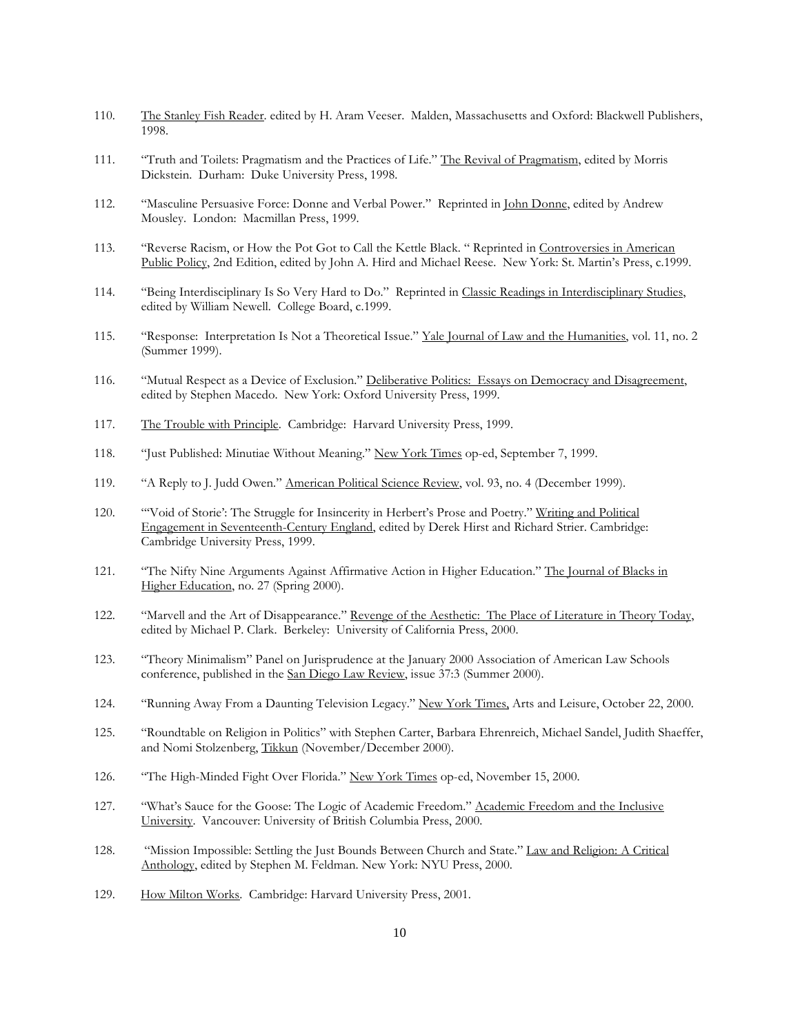- 110. The Stanley Fish Reader. edited by H. Aram Veeser. Malden, Massachusetts and Oxford: Blackwell Publishers, 1998.
- 111. "Truth and Toilets: Pragmatism and the Practices of Life." The Revival of Pragmatism, edited by Morris Dickstein. Durham: Duke University Press, 1998.
- 112. "Masculine Persuasive Force: Donne and Verbal Power." Reprinted in John Donne, edited by Andrew Mousley. London: Macmillan Press, 1999.
- 113. "Reverse Racism, or How the Pot Got to Call the Kettle Black. " Reprinted in Controversies in American Public Policy, 2nd Edition, edited by John A. Hird and Michael Reese. New York: St. Martin's Press, c.1999.
- 114. "Being Interdisciplinary Is So Very Hard to Do." Reprinted in Classic Readings in Interdisciplinary Studies, edited by William Newell. College Board, c.1999.
- 115. "Response: Interpretation Is Not a Theoretical Issue." Yale Journal of Law and the Humanities, vol. 11, no. 2 (Summer 1999).
- 116. "Mutual Respect as a Device of Exclusion." Deliberative Politics: Essays on Democracy and Disagreement, edited by Stephen Macedo. New York: Oxford University Press, 1999.
- 117. The Trouble with Principle. Cambridge: Harvard University Press, 1999.
- 118. "Just Published: Minutiae Without Meaning." New York Times op-ed, September 7, 1999.
- 119. "A Reply to J. Judd Owen." American Political Science Review, vol. 93, no. 4 (December 1999).
- 120. "'Void of Storie': The Struggle for Insincerity in Herbert's Prose and Poetry." Writing and Political Engagement in Seventeenth-Century England, edited by Derek Hirst and Richard Strier. Cambridge: Cambridge University Press, 1999.
- 121. "The Nifty Nine Arguments Against Affirmative Action in Higher Education." The Journal of Blacks in Higher Education, no. 27 (Spring 2000).
- 122. "Marvell and the Art of Disappearance." Revenge of the Aesthetic: The Place of Literature in Theory Today, edited by Michael P. Clark. Berkeley: University of California Press, 2000.
- 123. "Theory Minimalism" Panel on Jurisprudence at the January 2000 Association of American Law Schools conference, published in the San Diego Law Review, issue 37:3 (Summer 2000).
- 124. "Running Away From a Daunting Television Legacy." New York Times, Arts and Leisure, October 22, 2000.
- 125. "Roundtable on Religion in Politics" with Stephen Carter, Barbara Ehrenreich, Michael Sandel, Judith Shaeffer, and Nomi Stolzenberg, Tikkun (November/December 2000).
- 126. "The High-Minded Fight Over Florida." New York Times op-ed, November 15, 2000.
- 127. "What's Sauce for the Goose: The Logic of Academic Freedom." Academic Freedom and the Inclusive University. Vancouver: University of British Columbia Press, 2000.
- 128. "Mission Impossible: Settling the Just Bounds Between Church and State." Law and Religion: A Critical Anthology, edited by Stephen M. Feldman. New York: NYU Press, 2000.
- 129. How Milton Works. Cambridge: Harvard University Press, 2001.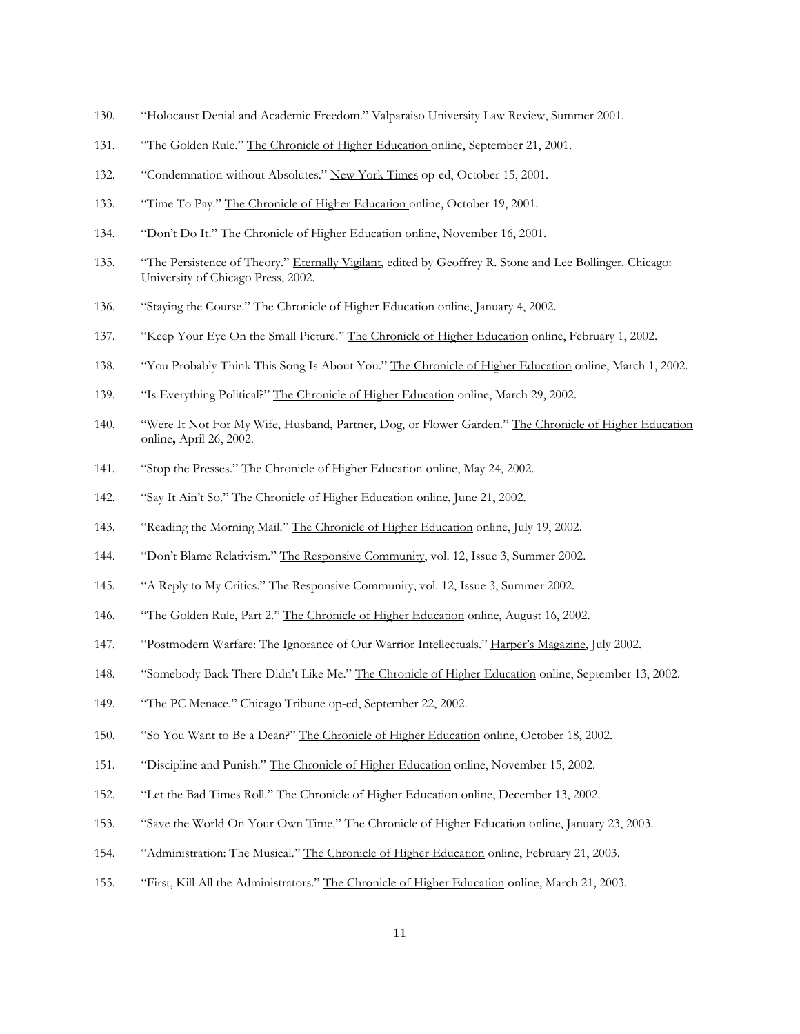- 130. "Holocaust Denial and Academic Freedom." Valparaiso University Law Review, Summer 2001.
- 131. "The Golden Rule." The Chronicle of Higher Education online, September 21, 2001.
- 132. "Condemnation without Absolutes." New York Times op-ed, October 15, 2001.
- 133. "Time To Pay." The Chronicle of Higher Education online, October 19, 2001.
- 134. "Don't Do It." The Chronicle of Higher Education online, November 16, 2001.
- 135. "The Persistence of Theory." Eternally Vigilant, edited by Geoffrey R. Stone and Lee Bollinger. Chicago: University of Chicago Press, 2002.
- 136. "Staying the Course." The Chronicle of Higher Education online, January 4, 2002.
- 137. "Keep Your Eye On the Small Picture." The Chronicle of Higher Education online, February 1, 2002.
- 138. "You Probably Think This Song Is About You." The Chronicle of Higher Education online, March 1, 2002.
- 139. "Is Everything Political?" The Chronicle of Higher Education online, March 29, 2002.
- 140. "Were It Not For My Wife, Husband, Partner, Dog, or Flower Garden." The Chronicle of Higher Education online, April 26, 2002.
- 141. "Stop the Presses." The Chronicle of Higher Education online, May 24, 2002.
- 142. "Say It Ain't So." The Chronicle of Higher Education online, June 21, 2002.
- 143. "Reading the Morning Mail." The Chronicle of Higher Education online, July 19, 2002.
- 144. "Don't Blame Relativism." The Responsive Community, vol. 12, Issue 3, Summer 2002.
- 145. "A Reply to My Critics." The Responsive Community, vol. 12, Issue 3, Summer 2002.
- 146. "The Golden Rule, Part 2." The Chronicle of Higher Education online, August 16, 2002.
- 147. "Postmodern Warfare: The Ignorance of Our Warrior Intellectuals." Harper's Magazine, July 2002.
- 148. "Somebody Back There Didn't Like Me." The Chronicle of Higher Education online, September 13, 2002.
- 149. "The PC Menace." Chicago Tribune op-ed, September 22, 2002.
- 150. "So You Want to Be a Dean?" The Chronicle of Higher Education online, October 18, 2002.
- 151. "Discipline and Punish." The Chronicle of Higher Education online, November 15, 2002.
- 152. "Let the Bad Times Roll." The Chronicle of Higher Education online, December 13, 2002.
- 153. "Save the World On Your Own Time." The Chronicle of Higher Education online, January 23, 2003.
- 154. "Administration: The Musical." The Chronicle of Higher Education online, February 21, 2003.
- 155. "First, Kill All the Administrators." The Chronicle of Higher Education online, March 21, 2003.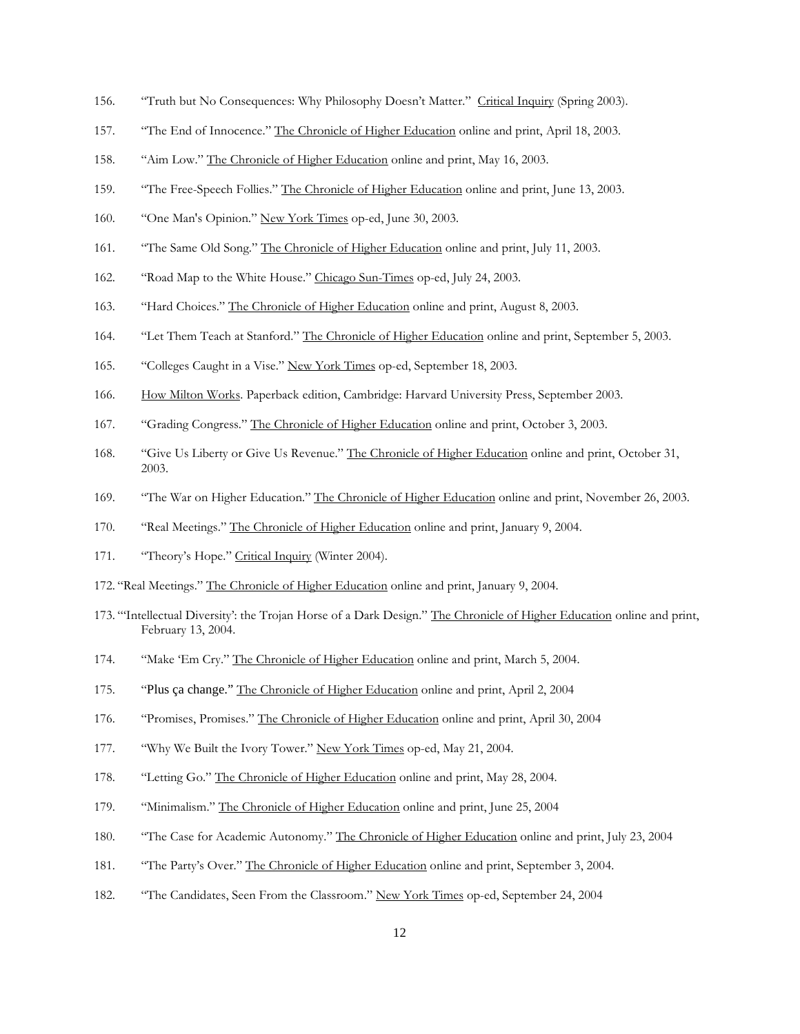- 156. "Truth but No Consequences: Why Philosophy Doesn't Matter." Critical Inquiry (Spring 2003).
- 157. "The End of Innocence." The Chronicle of Higher Education online and print, April 18, 2003.
- 158. "Aim Low." The Chronicle of Higher Education online and print, May 16, 2003.
- 159. "The Free-Speech Follies." The Chronicle of Higher Education online and print, June 13, 2003.
- 160. "One Man's Opinion." New York Times op-ed, June 30, 2003.
- 161. "The Same Old Song." The Chronicle of Higher Education online and print, July 11, 2003.
- 162. "Road Map to the White House." Chicago Sun-Times op-ed, July 24, 2003.
- 163. "Hard Choices." The Chronicle of Higher Education online and print, August 8, 2003.
- 164. "Let Them Teach at Stanford." The Chronicle of Higher Education online and print, September 5, 2003.
- 165. "Colleges Caught in a Vise." New York Times op-ed, September 18, 2003.
- 166. How Milton Works. Paperback edition, Cambridge: Harvard University Press, September 2003.
- 167. "Grading Congress." The Chronicle of Higher Education online and print, October 3, 2003.
- 168. "Give Us Liberty or Give Us Revenue." The Chronicle of Higher Education online and print, October 31, 2003.
- 169. "The War on Higher Education." The Chronicle of Higher Education online and print, November 26, 2003.
- 170. "Real Meetings." The Chronicle of Higher Education online and print, January 9, 2004.
- 171. "Theory's Hope." Critical Inquiry (Winter 2004).
- 172. "Real Meetings." The Chronicle of Higher Education online and print, January 9, 2004.
- 173. "'Intellectual Diversity': the Trojan Horse of a Dark Design." The Chronicle of Higher Education online and print, February 13, 2004.
- 174. "Make 'Em Cry." The Chronicle of Higher Education online and print, March 5, 2004.
- 175. "Plus ça change." The Chronicle of Higher Education online and print, April 2, 2004
- 176. "Promises, Promises." The Chronicle of Higher Education online and print, April 30, 2004
- 177. "Why We Built the Ivory Tower." New York Times op-ed, May 21, 2004.
- 178. "Letting Go." The Chronicle of Higher Education online and print, May 28, 2004.
- 179. "Minimalism." The Chronicle of Higher Education online and print, June 25, 2004
- 180. "The Case for Academic Autonomy." The Chronicle of Higher Education online and print, July 23, 2004
- 181. "The Party's Over." The Chronicle of Higher Education online and print, September 3, 2004.
- 182. "The Candidates, Seen From the Classroom." New York Times op-ed, September 24, 2004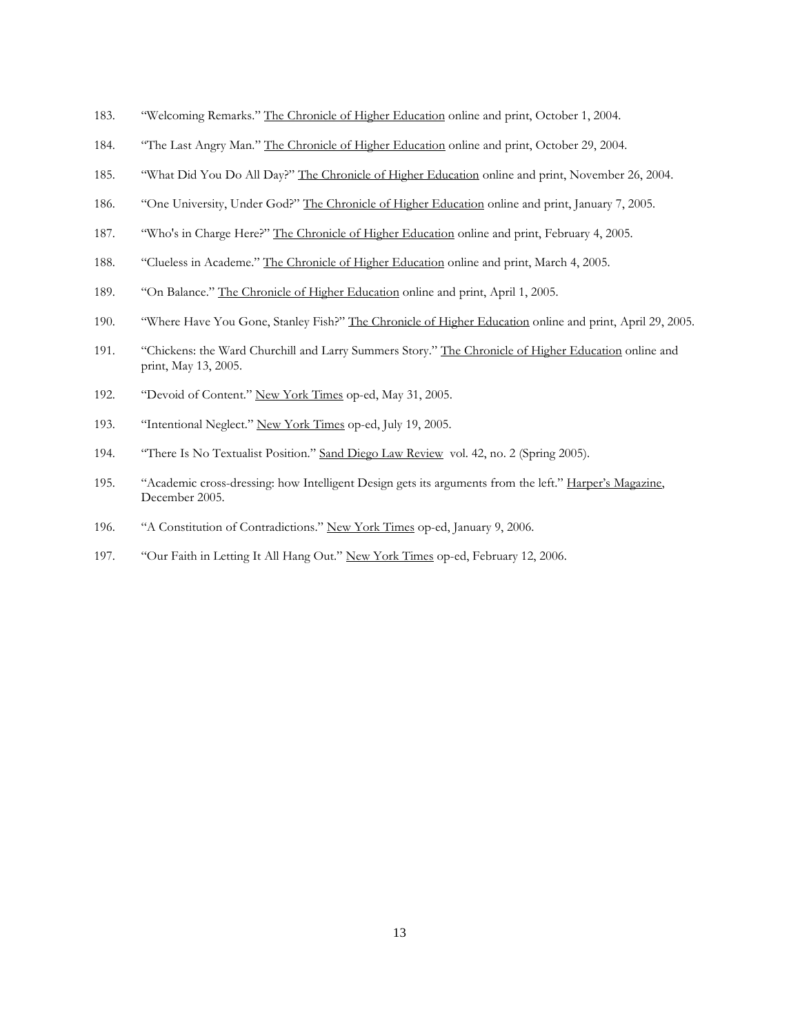- 183. "Welcoming Remarks." The Chronicle of Higher Education online and print, October 1, 2004.
- 184. "The Last Angry Man." The Chronicle of Higher Education online and print, October 29, 2004.
- 185. "What Did You Do All Day?" The Chronicle of Higher Education online and print, November 26, 2004.
- 186. "One University, Under God?" The Chronicle of Higher Education online and print, January 7, 2005.
- 187. "Who's in Charge Here?" The Chronicle of Higher Education online and print, February 4, 2005.
- 188. "Clueless in Academe." The Chronicle of Higher Education online and print, March 4, 2005.
- 189. "On Balance." The Chronicle of Higher Education online and print, April 1, 2005.
- 190. "Where Have You Gone, Stanley Fish?" The Chronicle of Higher Education online and print, April 29, 2005.
- 191. "Chickens: the Ward Churchill and Larry Summers Story." The Chronicle of Higher Education online and print, May 13, 2005.
- 192. "Devoid of Content." New York Times op-ed, May 31, 2005.
- 193. "Intentional Neglect." New York Times op-ed, July 19, 2005.
- 194. "There Is No Textualist Position." Sand Diego Law Review vol. 42, no. 2 (Spring 2005).
- 195. "Academic cross-dressing: how Intelligent Design gets its arguments from the left." Harper's Magazine, December 2005.
- 196. "A Constitution of Contradictions." New York Times op-ed, January 9, 2006.
- 197. "Our Faith in Letting It All Hang Out." New York Times op-ed, February 12, 2006.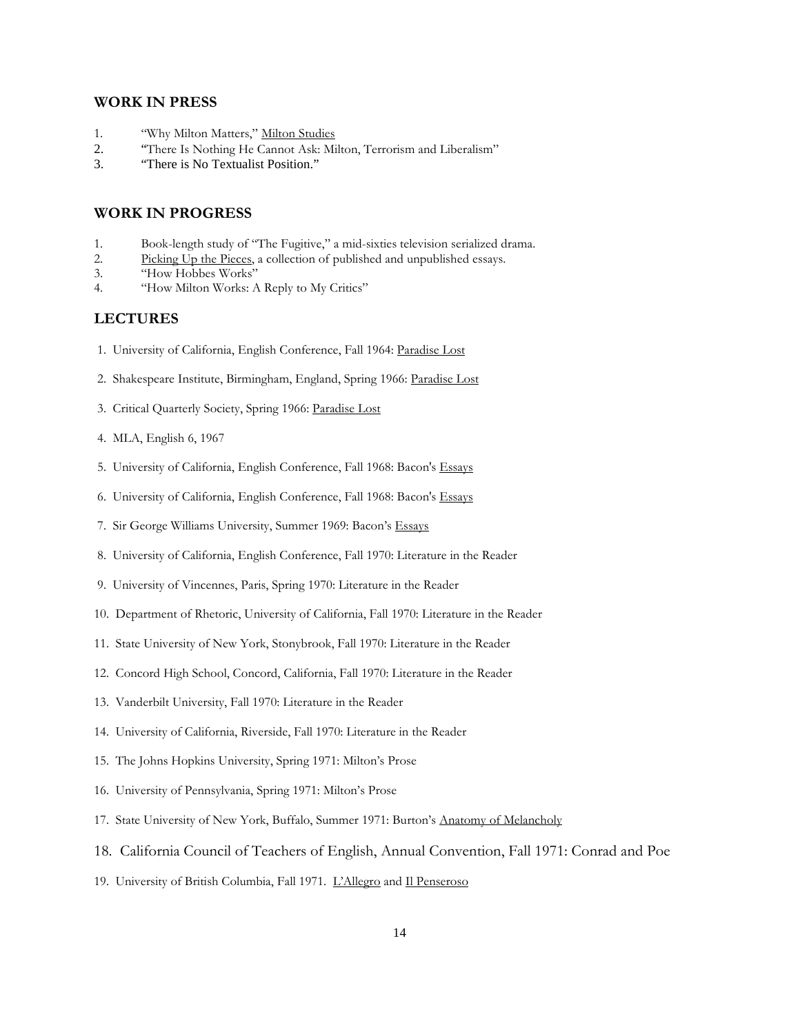## WORK IN PRESS

- 1. "Why Milton Matters," Milton Studies
- 2. "There Is Nothing He Cannot Ask: Milton, Terrorism and Liberalism"<br>3. "There is No Textualist Position."
- "There is No Textualist Position."

#### WORK IN PROGRESS

- 1. Book-length study of "The Fugitive," a mid-sixties television serialized drama.
- 2. Picking Up the Pieces, a collection of published and unpublished essays.
- 3. "How Hobbes Works"
- 4. "How Milton Works: A Reply to My Critics"

### LECTURES

- 1. University of California, English Conference, Fall 1964: Paradise Lost
- 2. Shakespeare Institute, Birmingham, England, Spring 1966: Paradise Lost
- 3. Critical Quarterly Society, Spring 1966: Paradise Lost
- 4. MLA, English 6, 1967
- 5. University of California, English Conference, Fall 1968: Bacon's Essays
- 6. University of California, English Conference, Fall 1968: Bacon's Essays
- 7. Sir George Williams University, Summer 1969: Bacon's Essays
- 8. University of California, English Conference, Fall 1970: Literature in the Reader
- 9. University of Vincennes, Paris, Spring 1970: Literature in the Reader
- 10. Department of Rhetoric, University of California, Fall 1970: Literature in the Reader
- 11. State University of New York, Stonybrook, Fall 1970: Literature in the Reader
- 12. Concord High School, Concord, California, Fall 1970: Literature in the Reader
- 13. Vanderbilt University, Fall 1970: Literature in the Reader
- 14. University of California, Riverside, Fall 1970: Literature in the Reader
- 15. The Johns Hopkins University, Spring 1971: Milton's Prose
- 16. University of Pennsylvania, Spring 1971: Milton's Prose
- 17. State University of New York, Buffalo, Summer 1971: Burton's Anatomy of Melancholy
- 18. California Council of Teachers of English, Annual Convention, Fall 1971: Conrad and Poe
- 19. University of British Columbia, Fall 1971. L'Allegro and Il Penseroso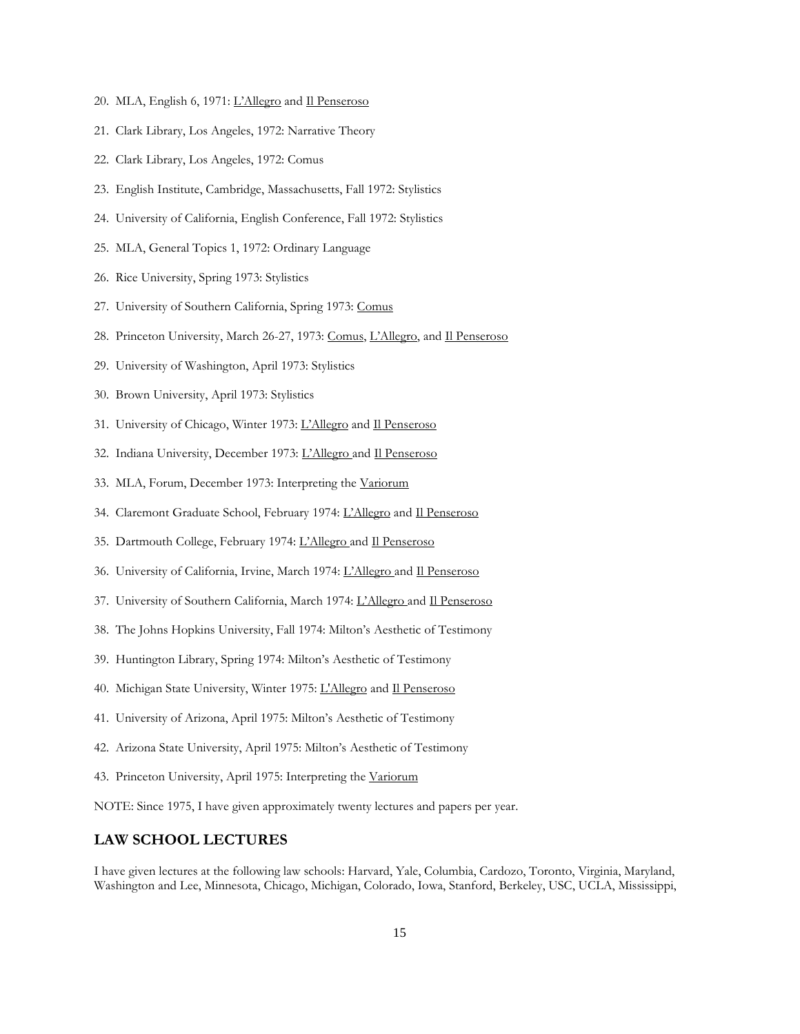- 20. MLA, English 6, 1971: L'Allegro and Il Penseroso
- 21. Clark Library, Los Angeles, 1972: Narrative Theory
- 22. Clark Library, Los Angeles, 1972: Comus
- 23. English Institute, Cambridge, Massachusetts, Fall 1972: Stylistics
- 24. University of California, English Conference, Fall 1972: Stylistics
- 25. MLA, General Topics 1, 1972: Ordinary Language
- 26. Rice University, Spring 1973: Stylistics
- 27. University of Southern California, Spring 1973: Comus
- 28. Princeton University, March 26-27, 1973: Comus, L'Allegro, and Il Penseroso
- 29. University of Washington, April 1973: Stylistics
- 30. Brown University, April 1973: Stylistics
- 31. University of Chicago, Winter 1973: L'Allegro and Il Penseroso
- 32. Indiana University, December 1973: L'Allegro and Il Penseroso
- 33. MLA, Forum, December 1973: Interpreting the Variorum
- 34. Claremont Graduate School, February 1974: L'Allegro and Il Penseroso
- 35. Dartmouth College, February 1974: L'Allegro and Il Penseroso
- 36. University of California, Irvine, March 1974: L'Allegro and Il Penseroso
- 37. University of Southern California, March 1974: L'Allegro and Il Penseroso
- 38. The Johns Hopkins University, Fall 1974: Milton's Aesthetic of Testimony
- 39. Huntington Library, Spring 1974: Milton's Aesthetic of Testimony
- 40. Michigan State University, Winter 1975: L'Allegro and Il Penseroso
- 41. University of Arizona, April 1975: Milton's Aesthetic of Testimony
- 42. Arizona State University, April 1975: Milton's Aesthetic of Testimony
- 43. Princeton University, April 1975: Interpreting the Variorum

NOTE: Since 1975, I have given approximately twenty lectures and papers per year.

### LAW SCHOOL LECTURES

I have given lectures at the following law schools: Harvard, Yale, Columbia, Cardozo, Toronto, Virginia, Maryland, Washington and Lee, Minnesota, Chicago, Michigan, Colorado, Iowa, Stanford, Berkeley, USC, UCLA, Mississippi,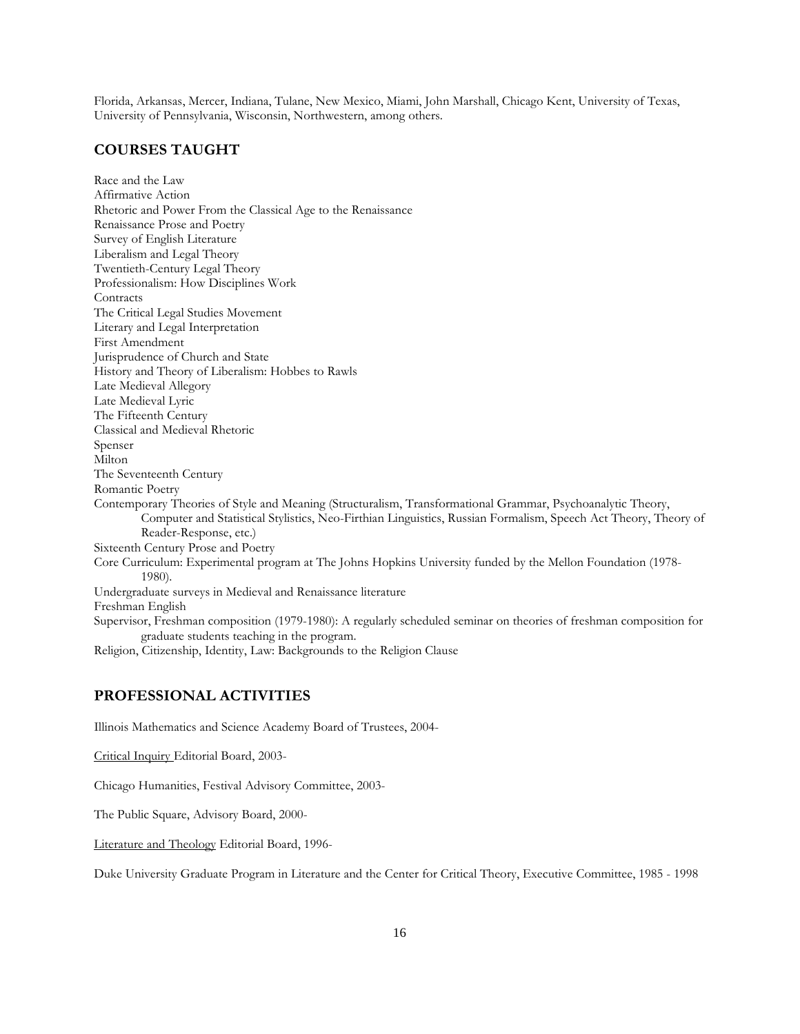Florida, Arkansas, Mercer, Indiana, Tulane, New Mexico, Miami, John Marshall, Chicago Kent, University of Texas, University of Pennsylvania, Wisconsin, Northwestern, among others.

## COURSES TAUGHT

Race and the Law Affirmative Action Rhetoric and Power From the Classical Age to the Renaissance Renaissance Prose and Poetry Survey of English Literature Liberalism and Legal Theory Twentieth-Century Legal Theory Professionalism: How Disciplines Work **Contracts** The Critical Legal Studies Movement Literary and Legal Interpretation First Amendment Jurisprudence of Church and State History and Theory of Liberalism: Hobbes to Rawls Late Medieval Allegory Late Medieval Lyric The Fifteenth Century Classical and Medieval Rhetoric Spenser Milton The Seventeenth Century Romantic Poetry Contemporary Theories of Style and Meaning (Structuralism, Transformational Grammar, Psychoanalytic Theory, Computer and Statistical Stylistics, Neo-Firthian Linguistics, Russian Formalism, Speech Act Theory, Theory of Reader-Response, etc.) Sixteenth Century Prose and Poetry Core Curriculum: Experimental program at The Johns Hopkins University funded by the Mellon Foundation (1978- 1980). Undergraduate surveys in Medieval and Renaissance literature Freshman English Supervisor, Freshman composition (1979-1980): A regularly scheduled seminar on theories of freshman composition for graduate students teaching in the program. Religion, Citizenship, Identity, Law: Backgrounds to the Religion Clause

## PROFESSIONAL ACTIVITIES

Illinois Mathematics and Science Academy Board of Trustees, 2004-

Critical Inquiry Editorial Board, 2003-

Chicago Humanities, Festival Advisory Committee, 2003-

The Public Square, Advisory Board, 2000-

Literature and Theology Editorial Board, 1996-

Duke University Graduate Program in Literature and the Center for Critical Theory, Executive Committee, 1985 - 1998